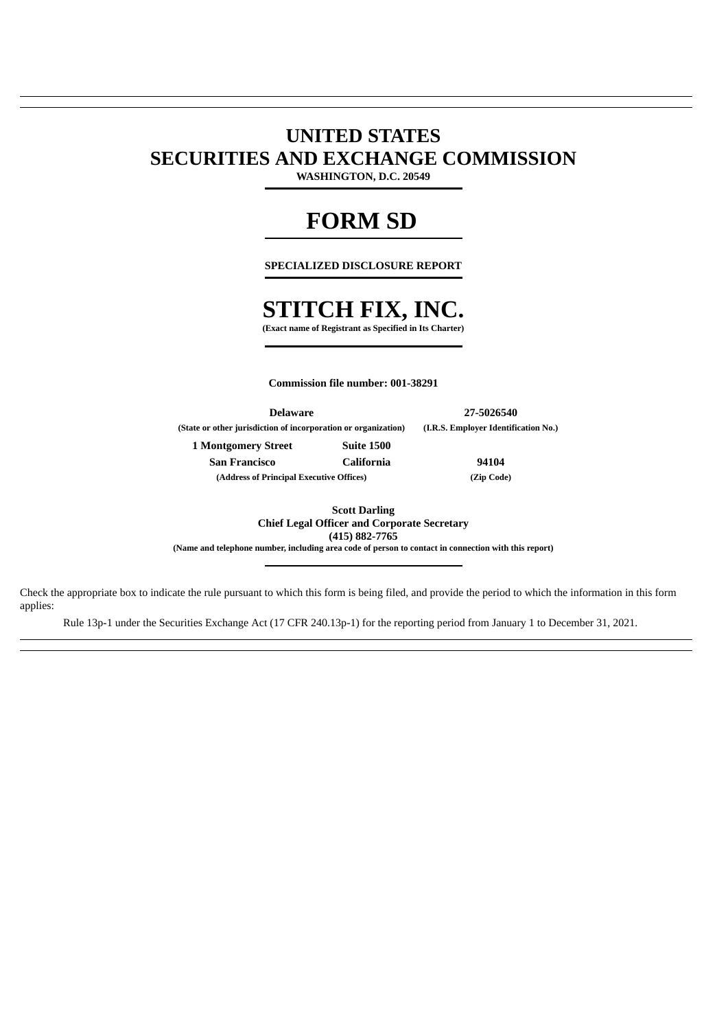# **UNITED STATES SECURITIES AND EXCHANGE COMMISSION**

**WASHINGTON, D.C. 20549**

# **FORM SD**

**SPECIALIZED DISCLOSURE REPORT**

# **STITCH FIX, INC.**

**(Exact name of Registrant as Specified in Its Charter)**

**Commission file number: 001-38291**

**Delaware 27-5026540 (State or other jurisdiction of incorporation or organization) (I.R.S. Employer Identification No.) 1 Montgomery Street Suite 1500 San Francisco California 94104 (Address of Principal Executive Offices) (Zip Code)**

**Scott Darling Chief Legal Officer and Corporate Secretary**

**(415) 882-7765**

**(Name and telephone number, including area code of person to contact in connection with this report)**

Check the appropriate box to indicate the rule pursuant to which this form is being filed, and provide the period to which the information in this form applies:

Rule 13p-1 under the Securities Exchange Act (17 CFR 240.13p-1) for the reporting period from January 1 to December 31, 2021.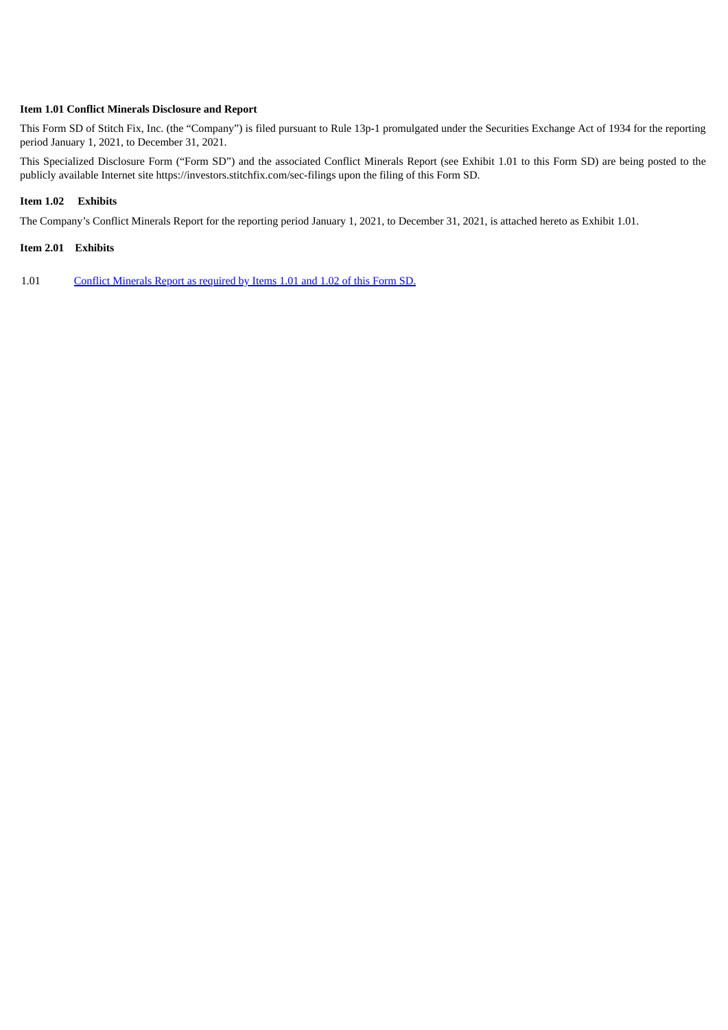### **Item 1.01 Conflict Minerals Disclosure and Report**

This Form SD of Stitch Fix, Inc. (the "Company") is filed pursuant to Rule 13p-1 promulgated under the Securities Exchange Act of 1934 for the reporting period January 1, 2021, to December 31, 2021.

This Specialized Disclosure Form ("Form SD") and the associated Conflict Minerals Report (see Exhibit 1.01 to this Form SD) are being posted to the publicly available Internet site https://investors.stitchfix.com/sec-filings upon the filing of this Form SD.

## **Item 1.02 Exhibits**

The Company's Conflict Minerals Report for the reporting period January 1, 2021, to December 31, 2021, is attached hereto as Exhibit 1.01.

## **Item 2.01 Exhibits**

1.01 Conflict [Minerals](#page-3-0) Report as required by Items 1.01 and 1.02 of this Form SD.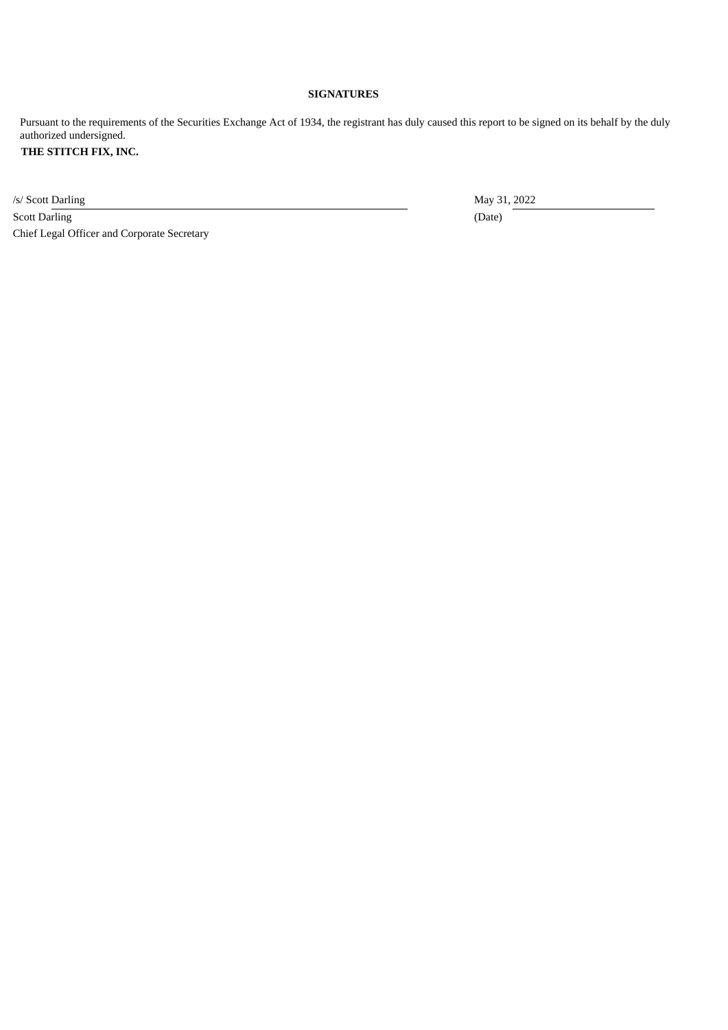# **SIGNATURES**

Pursuant to the requirements of the Securities Exchange Act of 1934, the registrant has duly caused this report to be signed on its behalf by the duly authorized undersigned.

# **THE STITCH FIX, INC.**

/s/ Scott Darling May 31, 2022

Scott Darling (Date) (Date) Chief Legal Officer and Corporate Secretary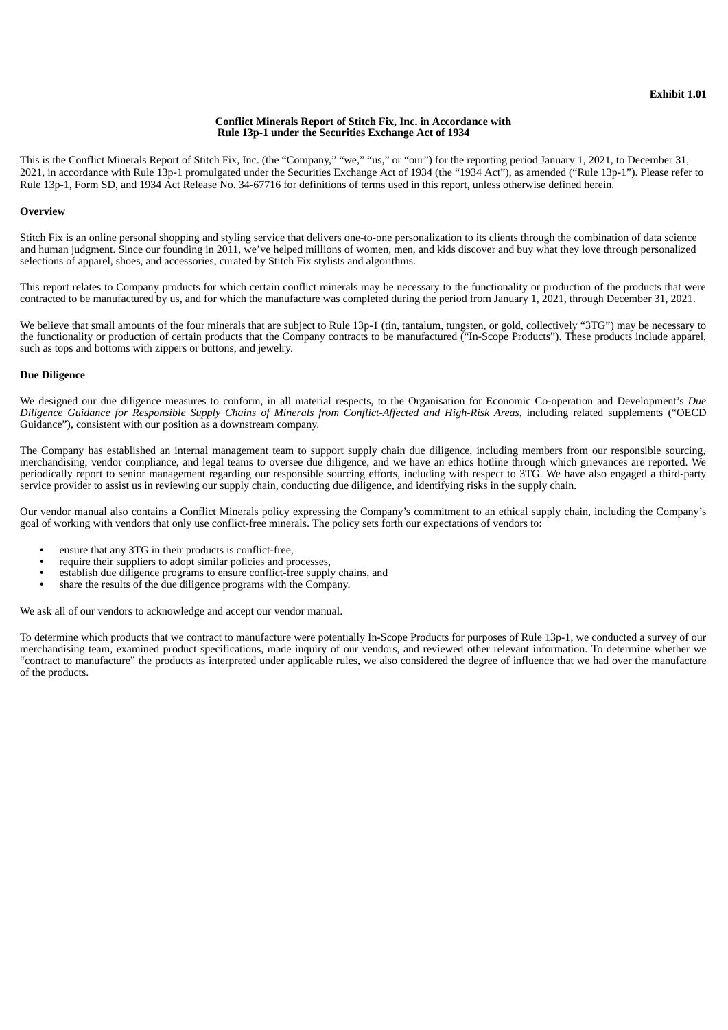#### **Conflict Minerals Report of Stitch Fix, Inc. in Accordance with Rule 13p-1 under the Securities Exchange Act of 1934**

<span id="page-3-0"></span>This is the Conflict Minerals Report of Stitch Fix, Inc. (the "Company," "we," "us," or "our") for the reporting period January 1, 2021, to December 31, 2021, in accordance with Rule 13p-1 promulgated under the Securities Exchange Act of 1934 (the "1934 Act"), as amended ("Rule 13p-1"). Please refer to Rule 13p-1, Form SD, and 1934 Act Release No. 34-67716 for definitions of terms used in this report, unless otherwise defined herein.

#### **Overview**

Stitch Fix is an online personal shopping and styling service that delivers one-to-one personalization to its clients through the combination of data science and human judgment. Since our founding in 2011, we've helped millions of women, men, and kids discover and buy what they love through personalized selections of apparel, shoes, and accessories, curated by Stitch Fix stylists and algorithms.

This report relates to Company products for which certain conflict minerals may be necessary to the functionality or production of the products that were contracted to be manufactured by us, and for which the manufacture was completed during the period from January 1, 2021, through December 31, 2021.

We believe that small amounts of the four minerals that are subject to Rule 13p-1 (tin, tantalum, tungsten, or gold, collectively "3TG") may be necessary to the functionality or production of certain products that the Company contracts to be manufactured ("In-Scope Products"). These products include apparel, such as tops and bottoms with zippers or buttons, and jewelry.

#### **Due Diligence**

We designed our due diligence measures to conform, in all material respects, to the Organisation for Economic Co-operation and Development's *Due* Diligence Guidance for Responsible Supply Chains of Minerals from Conflict-Affected and High-Risk Areas, including related supplements ("OECD Guidance"), consistent with our position as a downstream company.

The Company has established an internal management team to support supply chain due diligence, including members from our responsible sourcing, merchandising, vendor compliance, and legal teams to oversee due diligence, and we have an ethics hotline through which grievances are reported. We periodically report to senior management regarding our responsible sourcing efforts, including with respect to 3TG. We have also engaged a third-party service provider to assist us in reviewing our supply chain, conducting due diligence, and identifying risks in the supply chain.

Our vendor manual also contains a Conflict Minerals policy expressing the Company's commitment to an ethical supply chain, including the Company's goal of working with vendors that only use conflict-free minerals. The policy sets forth our expectations of vendors to:

- ensure that any 3TG in their products is conflict-free,
- require their suppliers to adopt similar policies and processes,
- establish due diligence programs to ensure conflict-free supply chains, and
- share the results of the due diligence programs with the Company.

We ask all of our vendors to acknowledge and accept our vendor manual.

To determine which products that we contract to manufacture were potentially In-Scope Products for purposes of Rule 13p-1, we conducted a survey of our merchandising team, examined product specifications, made inquiry of our vendors, and reviewed other relevant information. To determine whether we "contract to manufacture" the products as interpreted under applicable rules, we also considered the degree of influence that we had over the manufacture of the products.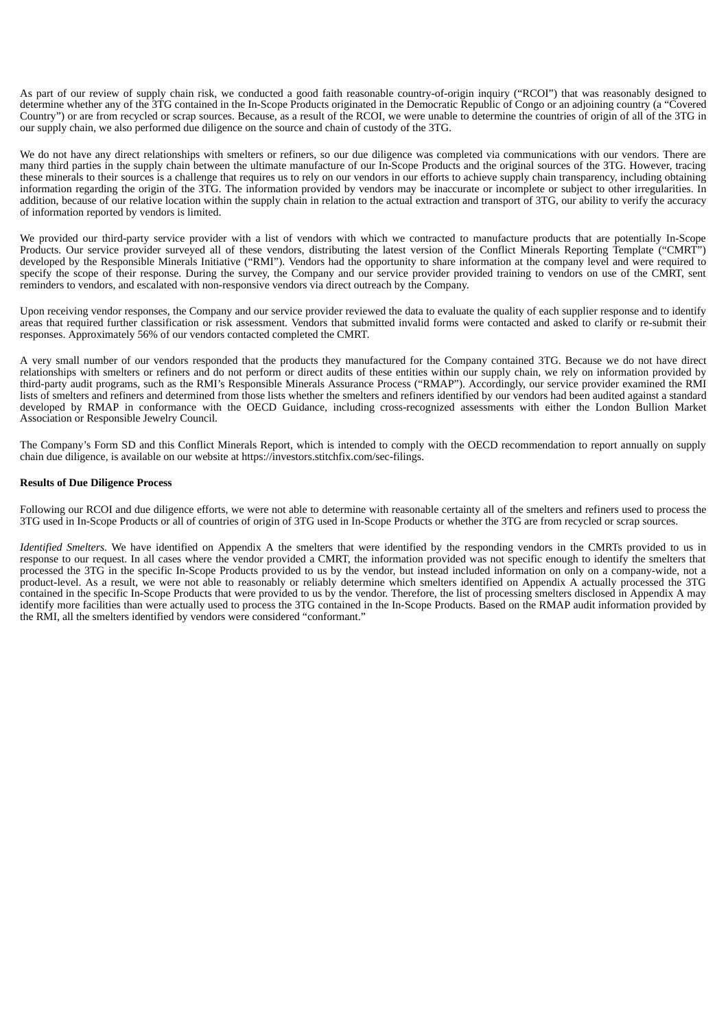As part of our review of supply chain risk, we conducted a good faith reasonable country-of-origin inquiry ("RCOI") that was reasonably designed to determine whether any of the 3TG contained in the In-Scope Products originated in the Democratic Republic of Congo or an adjoining country (a "Covered Country") or are from recycled or scrap sources. Because, as a result of the RCOI, we were unable to determine the countries of origin of all of the 3TG in our supply chain, we also performed due diligence on the source and chain of custody of the 3TG.

We do not have any direct relationships with smelters or refiners, so our due diligence was completed via communications with our vendors. There are many third parties in the supply chain between the ultimate manufacture of our In-Scope Products and the original sources of the 3TG. However, tracing these minerals to their sources is a challenge that requires us to rely on our vendors in our efforts to achieve supply chain transparency, including obtaining information regarding the origin of the 3TG. The information provided by vendors may be inaccurate or incomplete or subject to other irregularities. In addition, because of our relative location within the supply chain in relation to the actual extraction and transport of 3TG, our ability to verify the accuracy of information reported by vendors is limited.

We provided our third-party service provider with a list of vendors with which we contracted to manufacture products that are potentially In-Scope Products. Our service provider surveyed all of these vendors, distributing the latest version of the Conflict Minerals Reporting Template ("CMRT") developed by the Responsible Minerals Initiative ("RMI"). Vendors had the opportunity to share information at the company level and were required to specify the scope of their response. During the survey, the Company and our service provider provided training to vendors on use of the CMRT, sent reminders to vendors, and escalated with non-responsive vendors via direct outreach by the Company.

Upon receiving vendor responses, the Company and our service provider reviewed the data to evaluate the quality of each supplier response and to identify areas that required further classification or risk assessment. Vendors that submitted invalid forms were contacted and asked to clarify or re-submit their responses. Approximately 56% of our vendors contacted completed the CMRT.

A very small number of our vendors responded that the products they manufactured for the Company contained 3TG. Because we do not have direct relationships with smelters or refiners and do not perform or direct audits of these entities within our supply chain, we rely on information provided by third-party audit programs, such as the RMI's Responsible Minerals Assurance Process ("RMAP"). Accordingly, our service provider examined the RMI lists of smelters and refiners and determined from those lists whether the smelters and refiners identified by our vendors had been audited against a standard developed by RMAP in conformance with the OECD Guidance, including cross-recognized assessments with either the London Bullion Market Association or Responsible Jewelry Council.

The Company's Form SD and this Conflict Minerals Report, which is intended to comply with the OECD recommendation to report annually on supply chain due diligence, is available on our website at https://investors.stitchfix.com/sec-filings.

#### **Results of Due Diligence Process**

Following our RCOI and due diligence efforts, we were not able to determine with reasonable certainty all of the smelters and refiners used to process the 3TG used in In-Scope Products or all of countries of origin of 3TG used in In-Scope Products or whether the 3TG are from recycled or scrap sources.

*Identified Smelters.* We have identified on Appendix A the smelters that were identified by the responding vendors in the CMRTs provided to us in response to our request. In all cases where the vendor provided a CMRT, the information provided was not specific enough to identify the smelters that processed the 3TG in the specific In-Scope Products provided to us by the vendor, but instead included information on only on a company-wide, not a product-level. As a result, we were not able to reasonably or reliably determine which smelters identified on Appendix A actually processed the 3TG contained in the specific In-Scope Products that were provided to us by the vendor. Therefore, the list of processing smelters disclosed in Appendix A may identify more facilities than were actually used to process the 3TG contained in the In-Scope Products. Based on the RMAP audit information provided by the RMI, all the smelters identified by vendors were considered "conformant."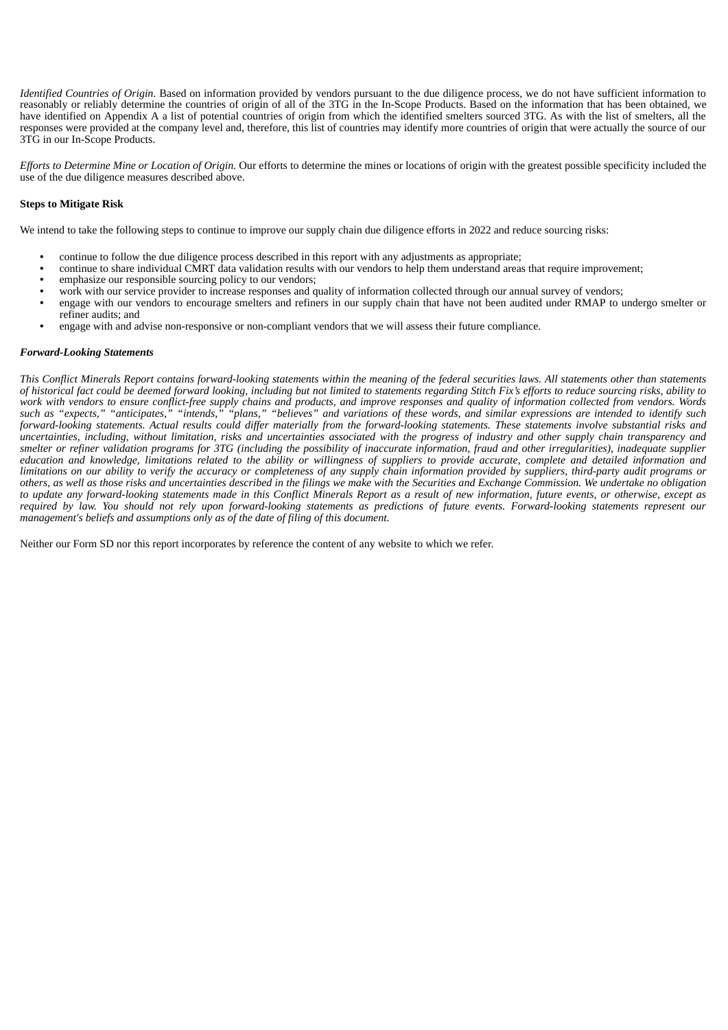*Identified Countries of Origin.* Based on information provided by vendors pursuant to the due diligence process, we do not have sufficient information to reasonably or reliably determine the countries of origin of all of the 3TG in the In-Scope Products. Based on the information that has been obtained, we have identified on Appendix A a list of potential countries of origin from which the identified smelters sourced 3TG. As with the list of smelters, all the responses were provided at the company level and, therefore, this list of countries may identify more countries of origin that were actually the source of our 3TG in our In-Scope Products.

*Efforts to Determine Mine or Location of Origin.* Our efforts to determine the mines or locations of origin with the greatest possible specificity included the use of the due diligence measures described above.

### **Steps to Mitigate Risk**

We intend to take the following steps to continue to improve our supply chain due diligence efforts in 2022 and reduce sourcing risks:

- continue to follow the due diligence process described in this report with any adjustments as appropriate;
- continue to share individual CMRT data validation results with our vendors to help them understand areas that require improvement;
- emphasize our responsible sourcing policy to our vendors;
- work with our service provider to increase responses and quality of information collected through our annual survey of vendors;
- engage with our vendors to encourage smelters and refiners in our supply chain that have not been audited under RMAP to undergo smelter or refiner audits; and
- engage with and advise non-responsive or non-compliant vendors that we will assess their future compliance.

#### *Forward-Looking Statements*

This Conflict Minerals Report contains forward-looking statements within the meaning of the federal securities laws. All statements other than statements of historical fact could be deemed forward looking, including but not limited to statements regarding Stitch Fix's efforts to reduce sourcing risks, ability to work with vendors to ensure conflict-free supply chains and products, and improve responses and quality of information collected from vendors. Words such as "expects," "anticipates," "intends," "plans," "believes" and variations of these words, and similar expressions are intended to identify such forward-looking statements. Actual results could differ materially from the forward-looking statements. These statements involve substantial risks and uncertainties, including, without limitation, risks and uncertainties associated with the progress of industry and other supply chain transparency and smelter or refiner validation programs for 3TG (including the possibility of inaccurate information, fraud and other irregularities), inadequate supplier education and knowledge, limitations related to the ability or willingness of suppliers to provide accurate, complete and detailed information and limitations on our ability to verify the accuracy or completeness of any supply chain information provided by suppliers, third-party audit programs or others, as well as those risks and uncertainties described in the filings we make with the Securities and Exchange Commission. We undertake no obligation to update any forward-looking statements made in this Conflict Minerals Report as a result of new information, future events, or otherwise, except as required by law. You should not rely upon forward-looking statements as predictions of future events. Forward-looking statements represent our *management's beliefs and assumptions only as of the date of filing of this document.*

Neither our Form SD nor this report incorporates by reference the content of any website to which we refer.